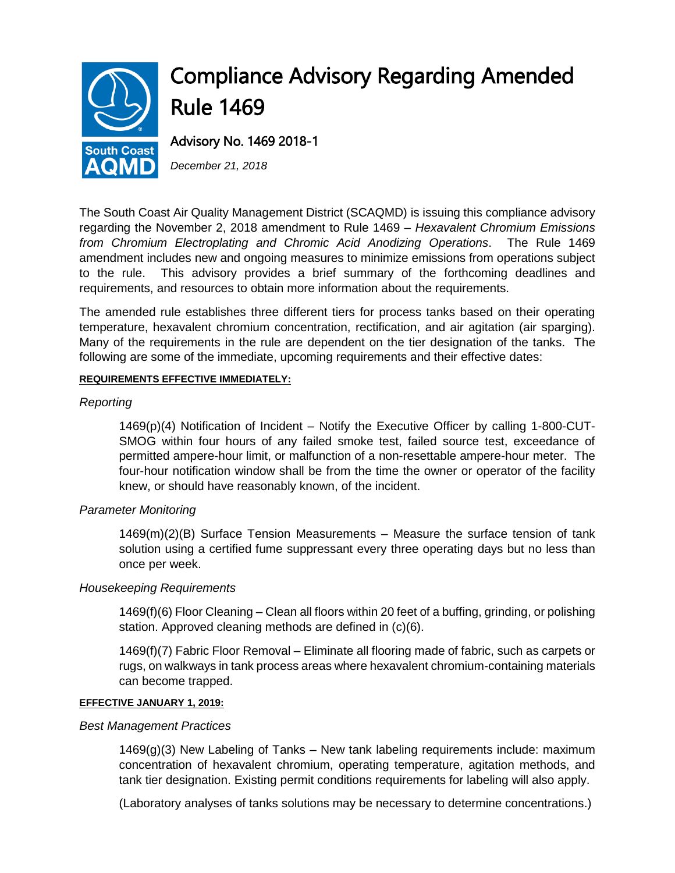

# Compliance Advisory Regarding Amended Rule 1469

Advisory No. 1469 2018-1

*December 21, 2018*

The South Coast Air Quality Management District (SCAQMD) is issuing this compliance advisory regarding the November 2, 2018 amendment to Rule 1469 – *Hexavalent Chromium Emissions from Chromium Electroplating and Chromic Acid Anodizing Operations*. The Rule 1469 amendment includes new and ongoing measures to minimize emissions from operations subject to the rule. This advisory provides a brief summary of the forthcoming deadlines and requirements, and resources to obtain more information about the requirements.

The amended rule establishes three different tiers for process tanks based on their operating temperature, hexavalent chromium concentration, rectification, and air agitation (air sparging). Many of the requirements in the rule are dependent on the tier designation of the tanks. The following are some of the immediate, upcoming requirements and their effective dates:

# **REQUIREMENTS EFFECTIVE IMMEDIATELY:**

# *Reporting*

1469(p)(4) Notification of Incident – Notify the Executive Officer by calling 1-800-CUT-SMOG within four hours of any failed smoke test, failed source test, exceedance of permitted ampere-hour limit, or malfunction of a non-resettable ampere-hour meter. The four-hour notification window shall be from the time the owner or operator of the facility knew, or should have reasonably known, of the incident.

# *Parameter Monitoring*

1469(m)(2)(B) Surface Tension Measurements – Measure the surface tension of tank solution using a certified fume suppressant every three operating days but no less than once per week.

## *Housekeeping Requirements*

1469(f)(6) Floor Cleaning – Clean all floors within 20 feet of a buffing, grinding, or polishing station. Approved cleaning methods are defined in (c)(6).

1469(f)(7) Fabric Floor Removal – Eliminate all flooring made of fabric, such as carpets or rugs, on walkways in tank process areas where hexavalent chromium-containing materials can become trapped.

## **EFFECTIVE JANUARY 1, 2019:**

## *Best Management Practices*

1469(g)(3) New Labeling of Tanks – New tank labeling requirements include: maximum concentration of hexavalent chromium, operating temperature, agitation methods, and tank tier designation. Existing permit conditions requirements for labeling will also apply.

(Laboratory analyses of tanks solutions may be necessary to determine concentrations.)